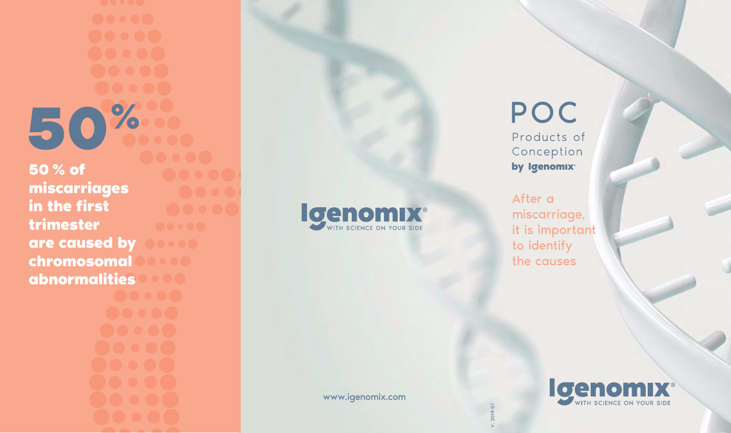50% **50 % of miscarriages in the first trimester are caused by chromosomal abnormalities**

# Igenomix<sup>®</sup>

## POC

Products of Conception by Igenomix<sup>®</sup>

After a miscarriage, it is important to identify the causes

V. 2019-01

www.igenomix.com